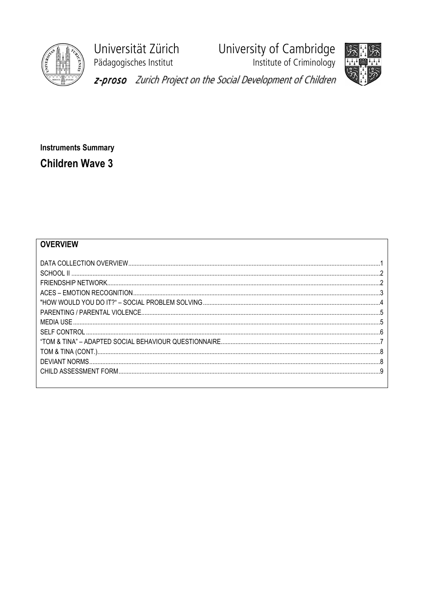

Universität Zürich Pädagogisches Institut

University of Cambridge<br>Institute of Criminology



z-proso Zurich Project on the Social Development of Children

**Instruments Summary Children Wave 3** 

## **OVERVIEW**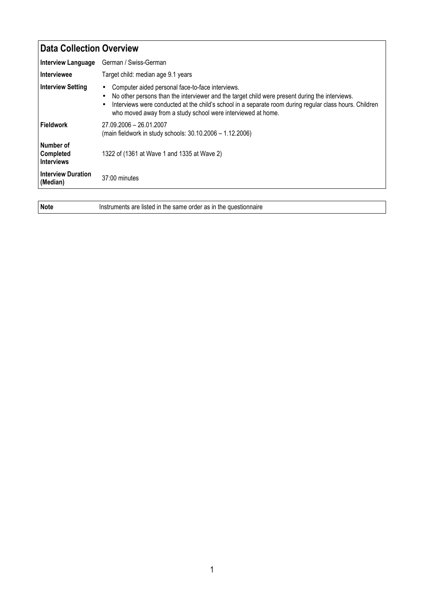## Data Collection Overview Interview Language German / Swiss-German Interviewee Target child: median age 9.1 years Interview Setting • Computer aided personal face-to-face interviews. • No other persons than the interviewer and the target child were present during the interviews. • Interviews were conducted at the child's school in a separate room during regular class hours. Children who moved away from a study school were interviewed at home. Fieldwork 27.09.2006 – 26.01.2007 (main fieldwork in study schools: 30.10.2006 – 1.12.2006) Number of Completed Interviews 1322 of (1361 at Wave 1 and 1335 at Wave 2) Interview Duration<br>(Median) 37:00 minutes

Note Instruments are listed in the same order as in the questionnaire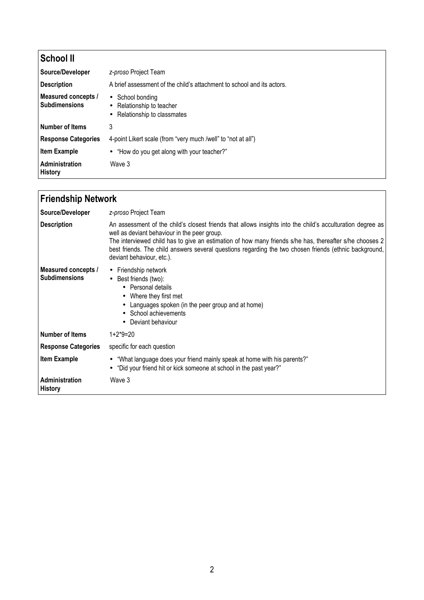| <b>School II</b>                            |                                                                                                     |
|---------------------------------------------|-----------------------------------------------------------------------------------------------------|
| Source/Developer                            | z-proso Project Team                                                                                |
| <b>Description</b>                          | A brief assessment of the child's attachment to school and its actors.                              |
| Measured concepts /<br><b>Subdimensions</b> | School bonding<br>$\bullet$<br>• Relationship to teacher<br>Relationship to classmates<br>$\bullet$ |
| <b>Number of Items</b>                      | 3                                                                                                   |
| <b>Response Categories</b>                  | 4-point Likert scale (from "very much /well" to "not at all")                                       |
| <b>Item Example</b>                         | • "How do you get along with your teacher?"                                                         |
| Administration<br><b>History</b>            | Wave 3                                                                                              |

| <b>Friendship Network</b>                   |                                                                                                                                                                                                                                                                                                                                                                                                              |
|---------------------------------------------|--------------------------------------------------------------------------------------------------------------------------------------------------------------------------------------------------------------------------------------------------------------------------------------------------------------------------------------------------------------------------------------------------------------|
| Source/Developer                            | z-proso Project Team                                                                                                                                                                                                                                                                                                                                                                                         |
| <b>Description</b>                          | An assessment of the child's closest friends that allows insights into the child's acculturation degree as<br>well as deviant behaviour in the peer group.<br>The interviewed child has to give an estimation of how many friends s/he has, thereafter s/he chooses 2<br>best friends. The child answers several questions regarding the two chosen friends (ethnic background,<br>deviant behaviour, etc.). |
| Measured concepts /<br><b>Subdimensions</b> | • Friendship network<br>• Best friends (two):<br>• Personal details<br>Where they first met<br>Languages spoken (in the peer group and at home)<br>School achievements<br>Deviant behaviour                                                                                                                                                                                                                  |
| Number of Items                             | $1+2*9=20$                                                                                                                                                                                                                                                                                                                                                                                                   |
| <b>Response Categories</b>                  | specific for each question                                                                                                                                                                                                                                                                                                                                                                                   |
| <b>Item Example</b>                         | "What language does your friend mainly speak at home with his parents?"<br>$\bullet$<br>• "Did your friend hit or kick someone at school in the past year?"                                                                                                                                                                                                                                                  |
| <b>Administration</b><br><b>History</b>     | Wave 3                                                                                                                                                                                                                                                                                                                                                                                                       |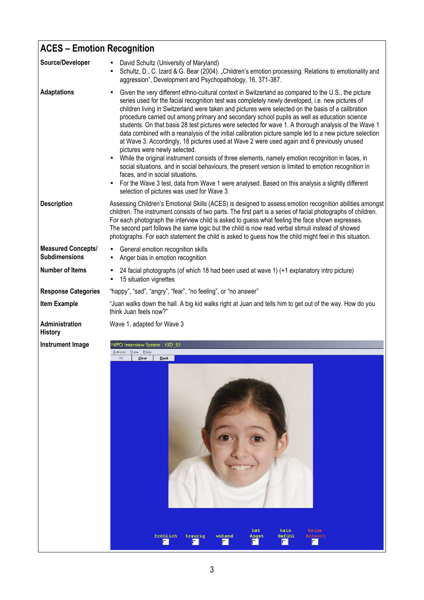| <b>ACES - Emotion Recognition</b>                 |                                                                                                                                                                                                                                                                                                                                                                                                                                                                                                                                                                                                                                                                                                                                                                                                                                                                                                                                                                                                                                                                                                                                                                      |
|---------------------------------------------------|----------------------------------------------------------------------------------------------------------------------------------------------------------------------------------------------------------------------------------------------------------------------------------------------------------------------------------------------------------------------------------------------------------------------------------------------------------------------------------------------------------------------------------------------------------------------------------------------------------------------------------------------------------------------------------------------------------------------------------------------------------------------------------------------------------------------------------------------------------------------------------------------------------------------------------------------------------------------------------------------------------------------------------------------------------------------------------------------------------------------------------------------------------------------|
| Source/Developer                                  | David Schultz (University of Maryland)<br>Schultz, D., C. Izard & G. Bear (2004). "Children's emotion processing: Relations to emotionality and<br>$\bullet$<br>aggression", Development and Psychopathology, 16, 371-387.                                                                                                                                                                                                                                                                                                                                                                                                                                                                                                                                                                                                                                                                                                                                                                                                                                                                                                                                           |
| <b>Adaptations</b>                                | Given the very different ethno-cultural context in Switzerland as compared to the U.S., the picture<br>series used for the facial recognition test was completely newly developed, i.e. new pictures of<br>children living in Switzerland were taken and pictures were selected on the basis of a calibration<br>procedure carried out among primary and secondary school pupils as well as education science<br>students. On that basis 28 test pictures were selected for wave 1. A thorough analysis of the Wave 1<br>data combined with a reanalysis of the initial calibration picture sample led to a new picture selection<br>at Wave 3. Accordingly, 18 pictures used at Wave 2 were used again and 6 previously unused<br>pictures were newly selected.<br>While the original instrument consists of three elements, namely emotion recognition in faces, in<br>social situations, and in social behaviours, the present version is limited to emotion recognition in<br>faces, and in social situations.<br>For the Wave 3 test, data from Wave 1 were analysed. Based on this analysis a slightly different<br>selection of pictures was used for Wave 3. |
| <b>Description</b>                                | Assessing Children's Emotional Skills (ACES) is designed to assess emotion recognition abilities amongst<br>children. The instrument consists of two parts. The first part is a series of facial photographs of children.<br>For each photograph the interview child is asked to guess what feeling the face shown expresses.<br>The second part follows the same logic but the child is now read verbal stimuli instead of showed<br>photographs. For each statement the child is asked to guess how the child might feel in this situation.                                                                                                                                                                                                                                                                                                                                                                                                                                                                                                                                                                                                                        |
| <b>Measured Concepts/</b><br><b>Subdimensions</b> | General emotion recognition skills<br>Anger bias in emotion recognition                                                                                                                                                                                                                                                                                                                                                                                                                                                                                                                                                                                                                                                                                                                                                                                                                                                                                                                                                                                                                                                                                              |
| <b>Number of Items</b>                            | 24 facial photographs (of which 18 had been used at wave 1) (+1 explanatory intro picture)<br>15 situation vignettes<br>$\bullet$                                                                                                                                                                                                                                                                                                                                                                                                                                                                                                                                                                                                                                                                                                                                                                                                                                                                                                                                                                                                                                    |
| <b>Response Categories</b>                        | "happy", "sad", "angry", "fear", "no feeling", or "no answer"                                                                                                                                                                                                                                                                                                                                                                                                                                                                                                                                                                                                                                                                                                                                                                                                                                                                                                                                                                                                                                                                                                        |
| <b>Item Example</b>                               | "Juan walks down the hall. A big kid walks right at Juan and tells him to get out of the way. How do you<br>think Juan feels now?"                                                                                                                                                                                                                                                                                                                                                                                                                                                                                                                                                                                                                                                                                                                                                                                                                                                                                                                                                                                                                                   |
| Administration<br><b>History</b>                  | Wave 1, adapted for Wave 3                                                                                                                                                                                                                                                                                                                                                                                                                                                                                                                                                                                                                                                                                                                                                                                                                                                                                                                                                                                                                                                                                                                                           |
| <b>Instrument Image</b>                           | NIPO Interview System : KID 01<br>Actions View Help                                                                                                                                                                                                                                                                                                                                                                                                                                                                                                                                                                                                                                                                                                                                                                                                                                                                                                                                                                                                                                                                                                                  |
|                                                   | OK<br>Clear<br>Back<br>hat<br>kein<br>keine                                                                                                                                                                                                                                                                                                                                                                                                                                                                                                                                                                                                                                                                                                                                                                                                                                                                                                                                                                                                                                                                                                                          |
|                                                   | fröhlich<br>wütend<br>Gefühl<br>Antwort<br>trauriq<br>Angst                                                                                                                                                                                                                                                                                                                                                                                                                                                                                                                                                                                                                                                                                                                                                                                                                                                                                                                                                                                                                                                                                                          |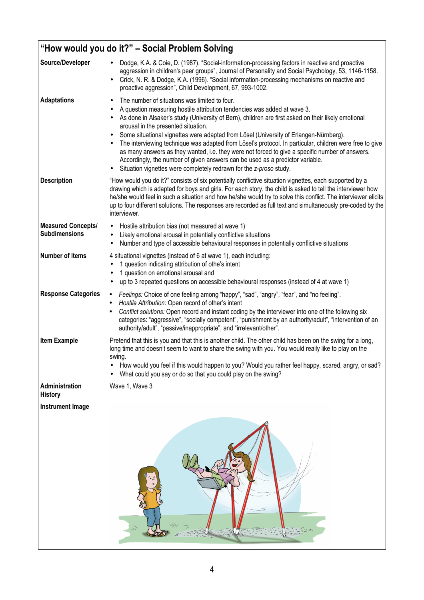| "How would you do it?" - Social Problem Solving   |                                                                                                                                                                                                                                                                                                                                                                                                                                                                                                                                                                                                                                                                                                                                                                                                |  |
|---------------------------------------------------|------------------------------------------------------------------------------------------------------------------------------------------------------------------------------------------------------------------------------------------------------------------------------------------------------------------------------------------------------------------------------------------------------------------------------------------------------------------------------------------------------------------------------------------------------------------------------------------------------------------------------------------------------------------------------------------------------------------------------------------------------------------------------------------------|--|
| Source/Developer                                  | Dodge, K.A. & Coie, D. (1987). "Social-information-processing factors in reactive and proactive<br>aggression in children's peer groups", Journal of Personality and Social Psychology, 53, 1146-1158.<br>Crick, N. R. & Dodge, K.A. (1996). "Social information-processing mechanisms on reactive and<br>$\bullet$<br>proactive aggression", Child Development, 67, 993-1002.                                                                                                                                                                                                                                                                                                                                                                                                                 |  |
| <b>Adaptations</b>                                | The number of situations was limited to four.<br>$\bullet$<br>A question measuring hostile attribution tendencies was added at wave 3.<br>٠<br>As done in Alsaker's study (University of Bern), children are first asked on their likely emotional<br>$\bullet$<br>arousal in the presented situation.<br>Some situational vignettes were adapted from Lösel (University of Erlangen-Nürnberg).<br>$\bullet$<br>The interviewing technique was adapted from Lösel's protocol. In particular, children were free to give<br>$\bullet$<br>as many answers as they wanted, i.e. they were not forced to give a specific number of answers.<br>Accordingly, the number of given answers can be used as a predictor variable.<br>Situation vignettes were completely redrawn for the z-proso study. |  |
| <b>Description</b>                                | "How would you do it?" consists of six potentially conflictive situation vignettes, each supported by a<br>drawing which is adapted for boys and girls. For each story, the child is asked to tell the interviewer how<br>he/she would feel in such a situation and how he/she would try to solve this conflict. The interviewer elicits<br>up to four different solutions. The responses are recorded as full text and simultaneously pre-coded by the<br>interviewer.                                                                                                                                                                                                                                                                                                                        |  |
| <b>Measured Concepts/</b><br><b>Subdimensions</b> | Hostile attribution bias (not measured at wave 1)<br>$\bullet$<br>Likely emotional arousal in potentially conflictive situations<br>Number and type of accessible behavioural responses in potentially conflictive situations<br>$\bullet$                                                                                                                                                                                                                                                                                                                                                                                                                                                                                                                                                     |  |
| <b>Number of Items</b>                            | 4 situational vignettes (instead of 6 at wave 1), each including:<br>1 question indicating attribution of othe's intent<br>1 question on emotional arousal and<br>up to 3 repeated questions on accessible behavioural responses (instead of 4 at wave 1)                                                                                                                                                                                                                                                                                                                                                                                                                                                                                                                                      |  |
| <b>Response Categories</b>                        | Feelings: Choice of one feeling among "happy", "sad", "angry", "fear", and "no feeling".<br>$\bullet$<br>Hostile Attribution: Open record of other's intent<br>٠<br>Conflict solutions: Open record and instant coding by the interviewer into one of the following six<br>categories: "aggressive", "socially competent", "punishment by an authority/adult", "intervention of an<br>authority/adult", "passive/inappropriate", and "irrelevant/other".                                                                                                                                                                                                                                                                                                                                       |  |
| <b>Item Example</b>                               | Pretend that this is you and that this is another child. The other child has been on the swing for a long,<br>long time and doesn't seem to want to share the swing with you. You would really like to play on the<br>swina.<br>How would you feel if this would happen to you? Would you rather feel happy, scared, angry, or sad?<br>What could you say or do so that you could play on the swing?                                                                                                                                                                                                                                                                                                                                                                                           |  |
| Administration<br><b>History</b>                  | Wave 1, Wave 3                                                                                                                                                                                                                                                                                                                                                                                                                                                                                                                                                                                                                                                                                                                                                                                 |  |
| <b>Instrument Image</b>                           |                                                                                                                                                                                                                                                                                                                                                                                                                                                                                                                                                                                                                                                                                                                                                                                                |  |
|                                                   |                                                                                                                                                                                                                                                                                                                                                                                                                                                                                                                                                                                                                                                                                                                                                                                                |  |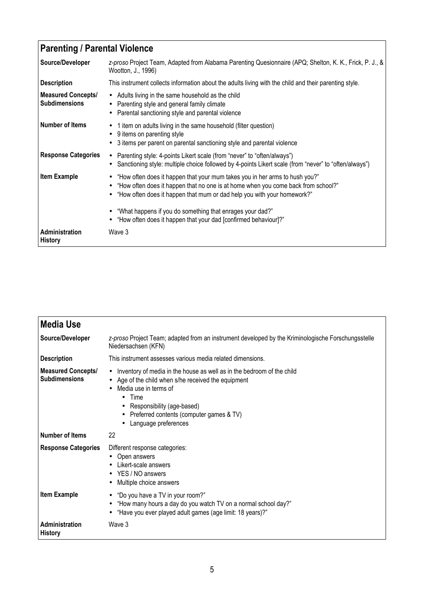## Parenting / Parental Violence

| Source/Developer                                  | z-proso Project Team, Adapted from Alabama Parenting Quesionnaire (APQ; Shelton, K. K., Frick, P. J., &<br>Wootton, J., 1996)                                                                                                                                                                                                                                                              |
|---------------------------------------------------|--------------------------------------------------------------------------------------------------------------------------------------------------------------------------------------------------------------------------------------------------------------------------------------------------------------------------------------------------------------------------------------------|
| <b>Description</b>                                | This instrument collects information about the adults living with the child and their parenting style.                                                                                                                                                                                                                                                                                     |
| <b>Measured Concepts/</b><br><b>Subdimensions</b> | • Adults living in the same household as the child<br>• Parenting style and general family climate<br>Parental sanctioning style and parental violence<br>$\bullet$                                                                                                                                                                                                                        |
| <b>Number of Items</b>                            | 1 item on adults living in the same household (filter question)<br>$\bullet$<br>9 items on parenting style<br>3 items per parent on parental sanctioning style and parental violence                                                                                                                                                                                                       |
| <b>Response Categories</b>                        | • Parenting style: 4-points Likert scale (from "never" to "often/always")<br>• Sanctioning style: multiple choice followed by 4-points Likert scale (from "never" to "often/always")                                                                                                                                                                                                       |
| <b>Item Example</b>                               | "How often does it happen that your mum takes you in her arms to hush you?"<br>$\bullet$<br>"How often does it happen that no one is at home when you come back from school?"<br>"How often does it happen that mum or dad help you with your homework?"<br>"What happens if you do something that enrages your dad?"<br>• "How often does it happen that your dad [confirmed behaviour]?" |
| Administration<br><b>History</b>                  | Wave 3                                                                                                                                                                                                                                                                                                                                                                                     |

| <b>Media Use</b>                                  |                                                                                                                                                                                                                                                                                       |
|---------------------------------------------------|---------------------------------------------------------------------------------------------------------------------------------------------------------------------------------------------------------------------------------------------------------------------------------------|
| Source/Developer                                  | z-proso Project Team; adapted from an instrument developed by the Kriminologische Forschungsstelle<br>Niedersachsen (KFN)                                                                                                                                                             |
| <b>Description</b>                                | This instrument assesses various media related dimensions.                                                                                                                                                                                                                            |
| <b>Measured Concepts/</b><br><b>Subdimensions</b> | Inventory of media in the house as well as in the bedroom of the child<br>$\bullet$<br>Age of the child when s/he received the equipment<br>Media use in terms of<br>$\bullet$ Time<br>Responsibility (age-based)<br>Preferred contents (computer games & TV)<br>Language preferences |
| <b>Number of Items</b>                            | 22                                                                                                                                                                                                                                                                                    |
| <b>Response Categories</b>                        | Different response categories:<br>Open answers<br>Likert-scale answers<br>YES / NO answers<br>$\bullet$<br>Multiple choice answers<br>$\bullet$                                                                                                                                       |
| <b>Item Example</b>                               | • "Do you have a TV in your room?"<br>"How many hours a day do you watch TV on a normal school day?"<br>$\bullet$<br>"Have you ever played adult games (age limit: 18 years)?"<br>$\bullet$                                                                                           |
| Administration<br><b>History</b>                  | Wave 3                                                                                                                                                                                                                                                                                |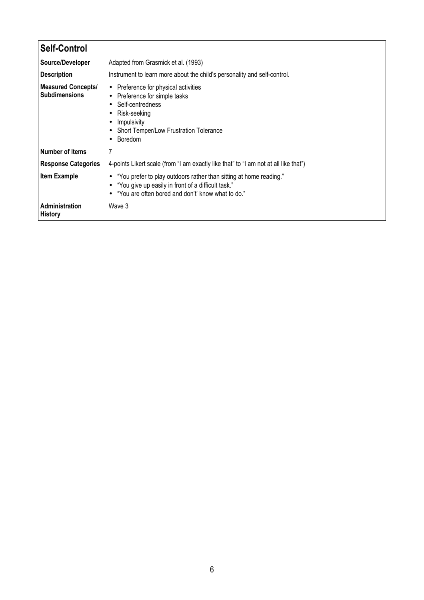| <b>Self-Control</b>                               |                                                                                                                                                                                                            |
|---------------------------------------------------|------------------------------------------------------------------------------------------------------------------------------------------------------------------------------------------------------------|
| Source/Developer                                  | Adapted from Grasmick et al. (1993)                                                                                                                                                                        |
| <b>Description</b>                                | Instrument to learn more about the child's personality and self-control.                                                                                                                                   |
| <b>Measured Concepts/</b><br><b>Subdimensions</b> | • Preference for physical activities<br>Preference for simple tasks<br>$\bullet$<br>Self-centredness<br>$\bullet$<br>Risk-seeking<br>٠<br>Impulsivity<br>Short Temper/Low Frustration Tolerance<br>Boredom |
| <b>Number of Items</b>                            |                                                                                                                                                                                                            |
| <b>Response Categories</b>                        | 4-points Likert scale (from "I am exactly like that" to "I am not at all like that")                                                                                                                       |
| <b>Item Example</b>                               | "You prefer to play outdoors rather than sitting at home reading."<br>$\bullet$<br>"You give up easily in front of a difficult task."<br>$\bullet$<br>"You are often bored and don't' know what to do."    |
| Administration<br><b>History</b>                  | Wave 3                                                                                                                                                                                                     |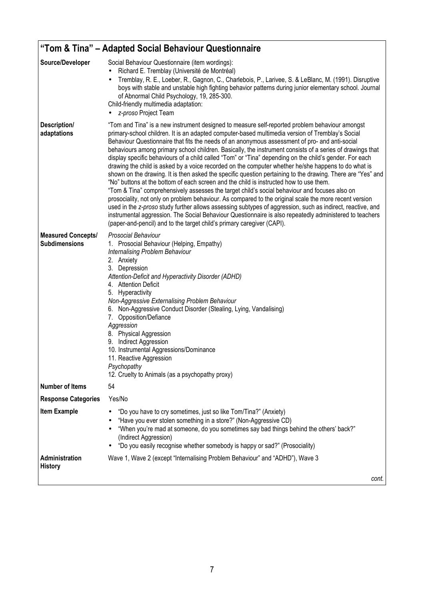| "Tom & Tina" – Adapted Social Behaviour Questionnaire |                                                                                                                                                                                                                                                                                                                                                                                                                                                                                                                                                                                                                                                                                                                                                                                                                                                                                                                                                                                                                                                                                                                                                                                                                                                                                                                                                            |
|-------------------------------------------------------|------------------------------------------------------------------------------------------------------------------------------------------------------------------------------------------------------------------------------------------------------------------------------------------------------------------------------------------------------------------------------------------------------------------------------------------------------------------------------------------------------------------------------------------------------------------------------------------------------------------------------------------------------------------------------------------------------------------------------------------------------------------------------------------------------------------------------------------------------------------------------------------------------------------------------------------------------------------------------------------------------------------------------------------------------------------------------------------------------------------------------------------------------------------------------------------------------------------------------------------------------------------------------------------------------------------------------------------------------------|
| Source/Developer                                      | Social Behaviour Questionnaire (item wordings):<br>Richard E. Tremblay (Université de Montréal)<br>٠<br>Tremblay, R. E., Loeber, R., Gagnon, C., Charlebois, P., Larivee, S. & LeBlanc, M. (1991). Disruptive<br>$\bullet$<br>boys with stable and unstable high fighting behavior patterns during junior elementary school. Journal<br>of Abnormal Child Psychology, 19, 285-300.<br>Child-friendly multimedia adaptation:<br>z-proso Project Team                                                                                                                                                                                                                                                                                                                                                                                                                                                                                                                                                                                                                                                                                                                                                                                                                                                                                                        |
| Description/<br>adaptations                           | "Tom and Tina" is a new instrument designed to measure self-reported problem behaviour amongst<br>primary-school children. It is an adapted computer-based multimedia version of Tremblay's Social<br>Behaviour Questionnaire that fits the needs of an anonymous assessment of pro- and anti-social<br>behaviours among primary school children. Basically, the instrument consists of a series of drawings that<br>display specific behaviours of a child called "Tom" or "Tina" depending on the child's gender. For each<br>drawing the child is asked by a voice recorded on the computer whether he/she happens to do what is<br>shown on the drawing. It is then asked the specific question pertaining to the drawing. There are "Yes" and<br>"No" buttons at the bottom of each screen and the child is instructed how to use them.<br>"Tom & Tina" comprehensively assesses the target child's social behaviour and focuses also on<br>prosociality, not only on problem behaviour. As compared to the original scale the more recent version<br>used in the z-proso study further allows assessing subtypes of aggression, such as indirect, reactive, and<br>instrumental aggression. The Social Behaviour Questionnaire is also repeatedly administered to teachers<br>(paper-and-pencil) and to the target child's primary caregiver (CAPI). |
| <b>Measured Concepts/</b><br><b>Subdimensions</b>     | Prosocial Behaviour<br>1. Prosocial Behaviour (Helping, Empathy)<br>Internalising Problem Behaviour<br>2. Anxiety<br>3. Depression<br>Attention-Deficit and Hyperactivity Disorder (ADHD)<br>4. Attention Deficit<br>5. Hyperactivity<br>Non-Aggressive Externalising Problem Behaviour<br>6. Non-Aggressive Conduct Disorder (Stealing, Lying, Vandalising)<br>7. Opposition/Defiance<br>Aggression<br>8. Physical Aggression<br>9. Indirect Aggression<br>10. Instrumental Aggressions/Dominance<br>11. Reactive Aggression<br>Psychopathy<br>12. Cruelty to Animals (as a psychopathy proxy)                                                                                                                                                                                                                                                                                                                                                                                                                                                                                                                                                                                                                                                                                                                                                            |
| <b>Number of Items</b>                                | 54                                                                                                                                                                                                                                                                                                                                                                                                                                                                                                                                                                                                                                                                                                                                                                                                                                                                                                                                                                                                                                                                                                                                                                                                                                                                                                                                                         |
| <b>Response Categories</b>                            | Yes/No                                                                                                                                                                                                                                                                                                                                                                                                                                                                                                                                                                                                                                                                                                                                                                                                                                                                                                                                                                                                                                                                                                                                                                                                                                                                                                                                                     |
| <b>Item Example</b>                                   | "Do you have to cry sometimes, just so like Tom/Tina?" (Anxiety)<br>"Have you ever stolen something in a store?" (Non-Aggressive CD)<br>"When you're mad at someone, do you sometimes say bad things behind the others' back?"<br>(Indirect Aggression)<br>"Do you easily recognise whether somebody is happy or sad?" (Prosociality)                                                                                                                                                                                                                                                                                                                                                                                                                                                                                                                                                                                                                                                                                                                                                                                                                                                                                                                                                                                                                      |
| Administration<br><b>History</b>                      | Wave 1, Wave 2 (except "Internalising Problem Behaviour" and "ADHD"), Wave 3                                                                                                                                                                                                                                                                                                                                                                                                                                                                                                                                                                                                                                                                                                                                                                                                                                                                                                                                                                                                                                                                                                                                                                                                                                                                               |
|                                                       | cont.                                                                                                                                                                                                                                                                                                                                                                                                                                                                                                                                                                                                                                                                                                                                                                                                                                                                                                                                                                                                                                                                                                                                                                                                                                                                                                                                                      |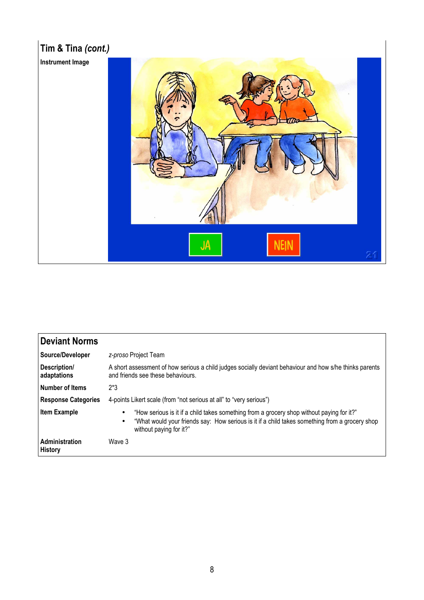

| Deviant Norms               |                                                                                                                                                                                                                                                  |
|-----------------------------|--------------------------------------------------------------------------------------------------------------------------------------------------------------------------------------------------------------------------------------------------|
| Source/Developer            | z-proso Project Team                                                                                                                                                                                                                             |
| Description/<br>adaptations | A short assessment of how serious a child judges socially deviant behaviour and how s/he thinks parents<br>and friends see these behaviours.                                                                                                     |
| Number of Items             | $2*3$                                                                                                                                                                                                                                            |
| <b>Response Categories</b>  | 4-points Likert scale (from "not serious at all" to "very serious")                                                                                                                                                                              |
| <b>Item Example</b>         | "How serious is it if a child takes something from a grocery shop without paying for it?"<br>$\bullet$<br>"What would your friends say: How serious is it if a child takes something from a grocery shop<br>$\bullet$<br>without paying for it?" |
| Administration<br>History   | Wave 3                                                                                                                                                                                                                                           |